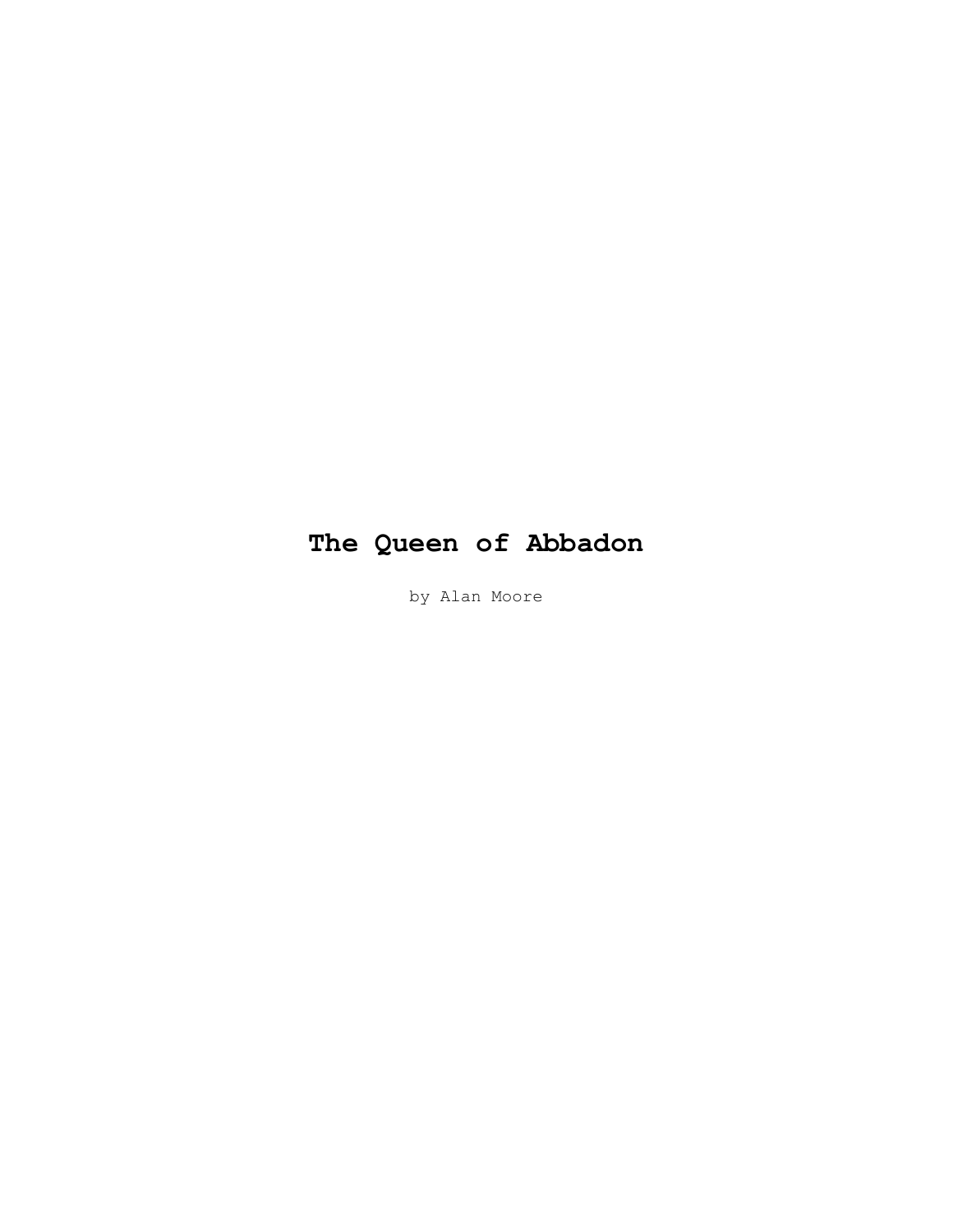# **The Queen of Abbadon**

by Alan Moore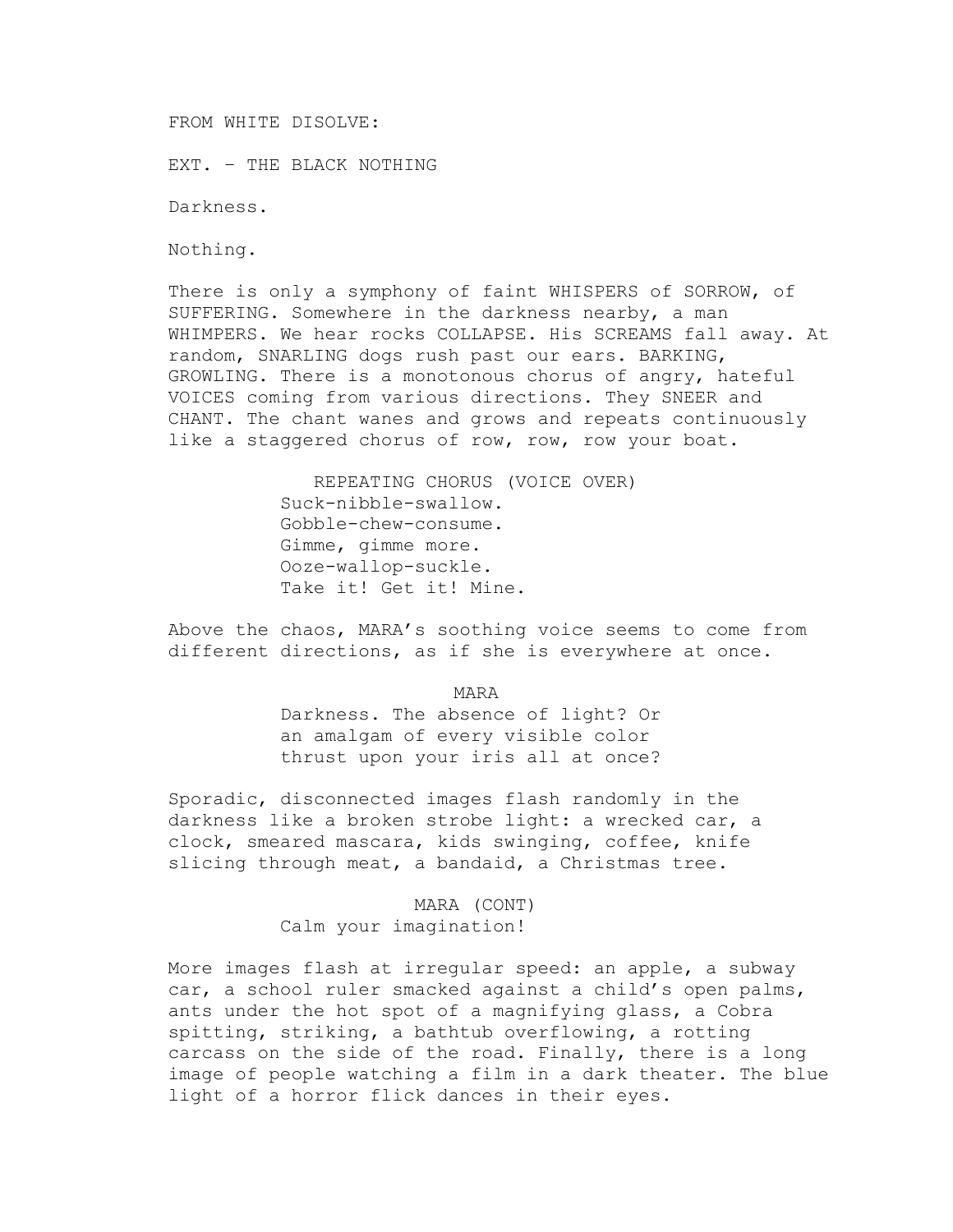FROM WHITE DISOLVE:

EXT. – THE BLACK NOTHING

Darkness.

Nothing.

There is only a symphony of faint WHISPERS of SORROW, of SUFFERING. Somewhere in the darkness nearby, a man WHIMPERS. We hear rocks COLLAPSE. His SCREAMS fall away. At random, SNARLING dogs rush past our ears. BARKING, GROWLING. There is a monotonous chorus of angry, hateful VOICES coming from various directions. They SNEER and CHANT. The chant wanes and grows and repeats continuously like a staggered chorus of row, row, row your boat.

> REPEATING CHORUS (VOICE OVER) Suck-nibble-swallow. Gobble-chew-consume. Gimme, gimme more. Ooze-wallop-suckle. Take it! Get it! Mine.

Above the chaos, MARA's soothing voice seems to come from different directions, as if she is everywhere at once.

MARA

Darkness. The absence of light? Or an amalgam of every visible color thrust upon your iris all at once?

Sporadic, disconnected images flash randomly in the darkness like a broken strobe light: a wrecked car, a clock, smeared mascara, kids swinging, coffee, knife slicing through meat, a bandaid, a Christmas tree.

> MARA (CONT) Calm your imagination!

More images flash at irregular speed: an apple, a subway car, a school ruler smacked against a child's open palms, ants under the hot spot of a magnifying glass, a Cobra spitting, striking, a bathtub overflowing, a rotting carcass on the side of the road. Finally, there is a long image of people watching a film in a dark theater. The blue light of a horror flick dances in their eyes.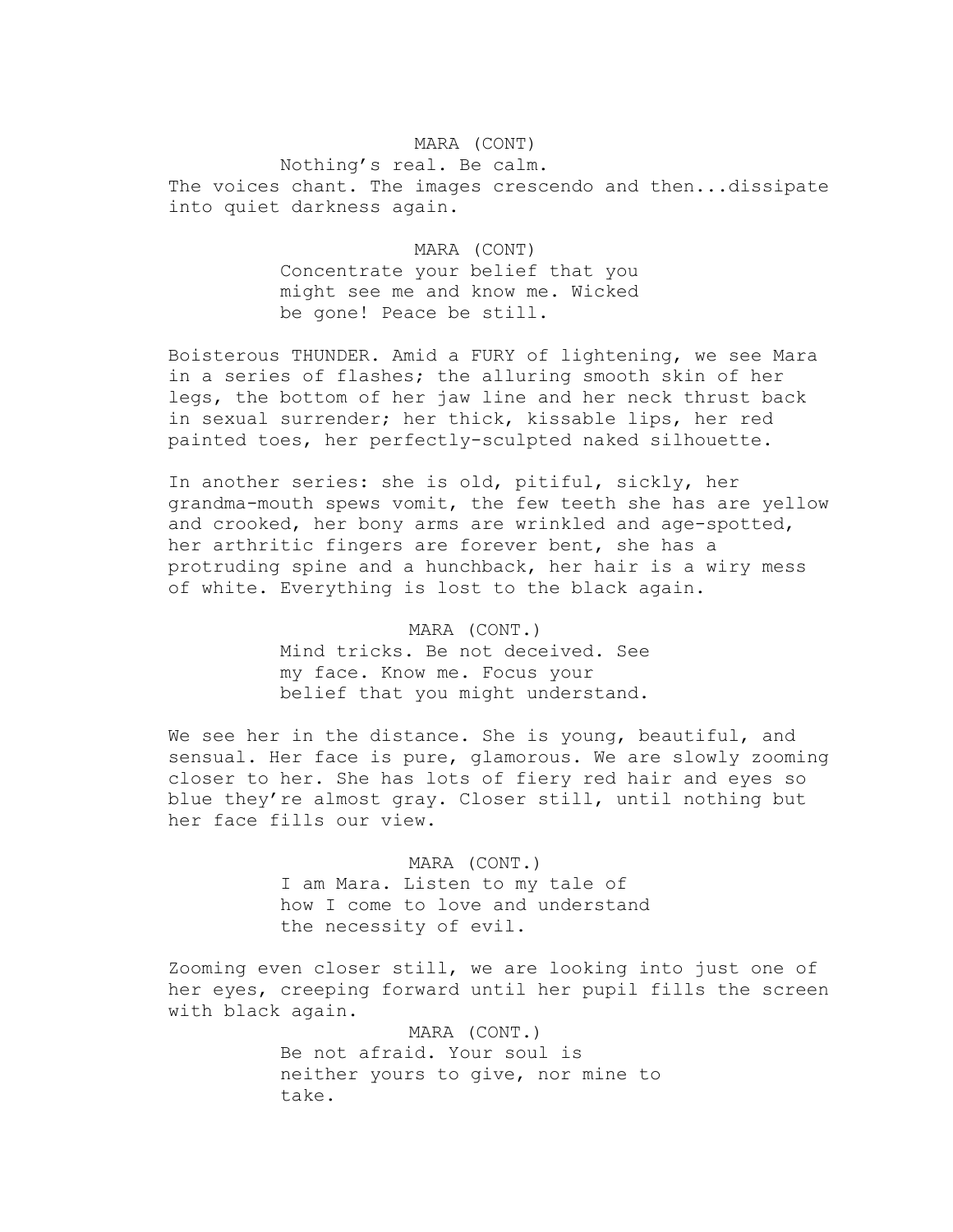## MARA (CONT)

Nothing's real. Be calm. The voices chant. The images crescendo and then...dissipate into quiet darkness again.

## MARA (CONT)

Concentrate your belief that you might see me and know me. Wicked be gone! Peace be still.

Boisterous THUNDER. Amid a FURY of lightening, we see Mara in a series of flashes; the alluring smooth skin of her legs, the bottom of her jaw line and her neck thrust back in sexual surrender; her thick, kissable lips, her red painted toes, her perfectly-sculpted naked silhouette.

In another series: she is old, pitiful, sickly, her grandma-mouth spews vomit, the few teeth she has are yellow and crooked, her bony arms are wrinkled and age-spotted, her arthritic fingers are forever bent, she has a protruding spine and a hunchback, her hair is a wiry mess of white. Everything is lost to the black again.

> MARA (CONT.) Mind tricks. Be not deceived. See my face. Know me. Focus your belief that you might understand.

We see her in the distance. She is young, beautiful, and sensual. Her face is pure, glamorous. We are slowly zooming closer to her. She has lots of fiery red hair and eyes so blue they're almost gray. Closer still, until nothing but her face fills our view.

> MARA (CONT.) I am Mara. Listen to my tale of how I come to love and understand the necessity of evil.

Zooming even closer still, we are looking into just one of her eyes, creeping forward until her pupil fills the screen with black again.

> MARA (CONT.) Be not afraid. Your soul is neither yours to give, nor mine to take.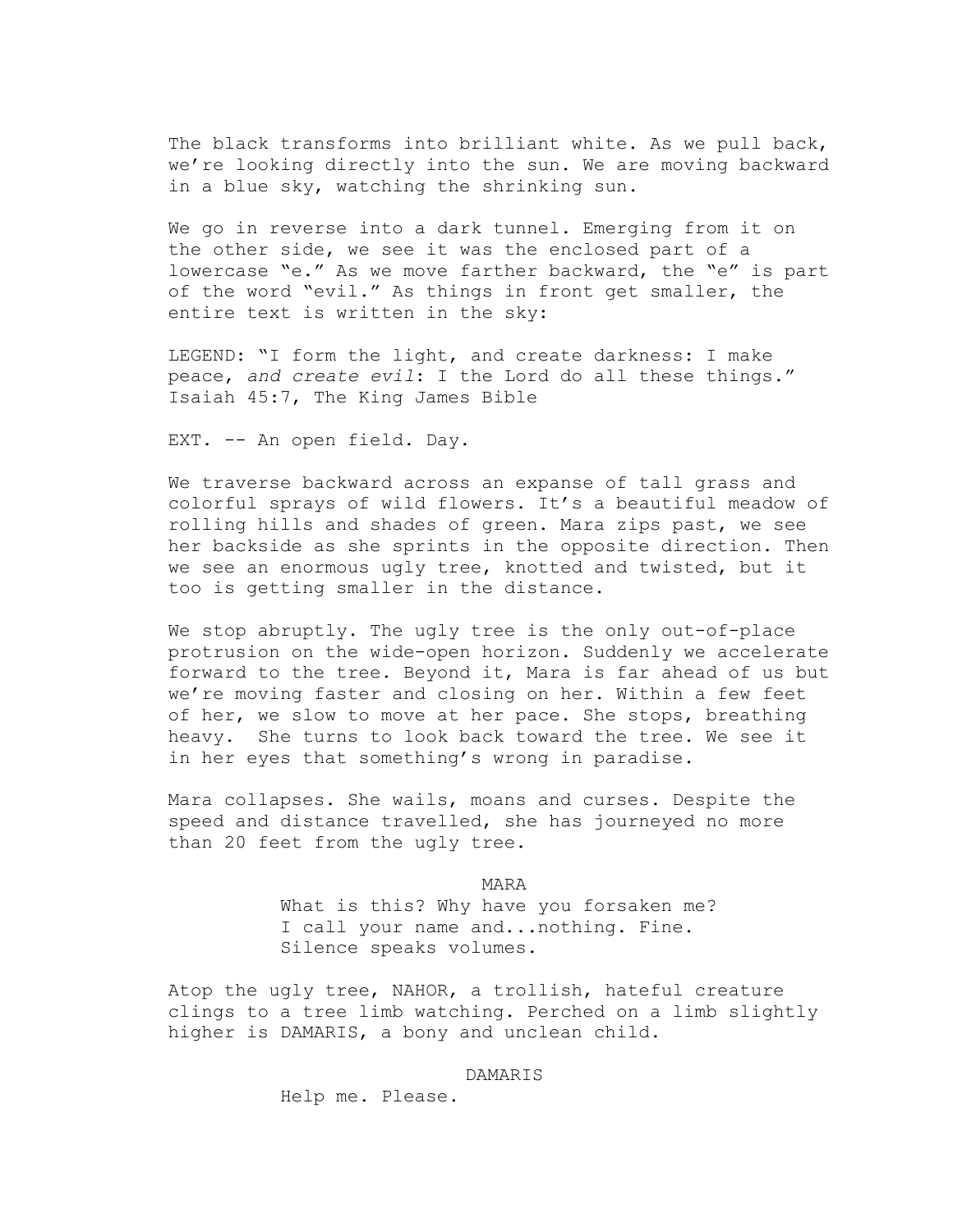The black transforms into brilliant white. As we pull back, we're looking directly into the sun. We are moving backward in a blue sky, watching the shrinking sun.

We go in reverse into a dark tunnel. Emerging from it on the other side, we see it was the enclosed part of a lowercase "e." As we move farther backward, the "e" is part of the word "evil." As things in front get smaller, the entire text is written in the sky:

LEGEND: "I form the light, and create darkness: I make peace, *and create evil*: I the Lord do all these things." Isaiah 45:7, The King James Bible

EXT. -- An open field. Day.

We traverse backward across an expanse of tall grass and colorful sprays of wild flowers. It's a beautiful meadow of rolling hills and shades of green. Mara zips past, we see her backside as she sprints in the opposite direction. Then we see an enormous ugly tree, knotted and twisted, but it too is getting smaller in the distance.

We stop abruptly. The ugly tree is the only out-of-place protrusion on the wide-open horizon. Suddenly we accelerate forward to the tree. Beyond it, Mara is far ahead of us but we're moving faster and closing on her. Within a few feet of her, we slow to move at her pace. She stops, breathing heavy. She turns to look back toward the tree. We see it in her eyes that something's wrong in paradise.

Mara collapses. She wails, moans and curses. Despite the speed and distance travelled, she has journeyed no more than 20 feet from the ugly tree.

> MARA What is this? Why have you forsaken me? I call your name and...nothing. Fine. Silence speaks volumes.

Atop the ugly tree, NAHOR, a trollish, hateful creature clings to a tree limb watching. Perched on a limb slightly higher is DAMARIS, a bony and unclean child.

DAMARIS

Help me. Please.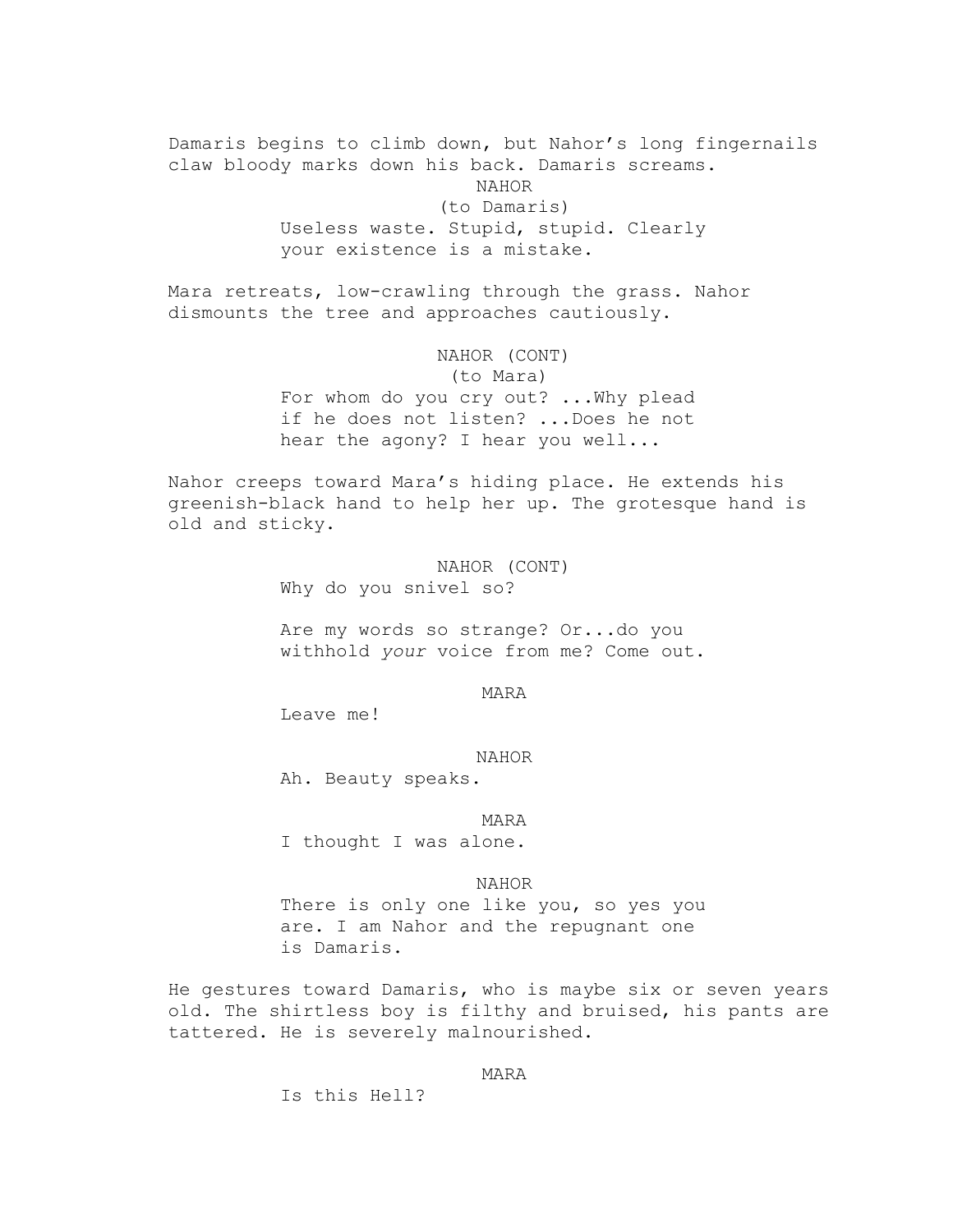Damaris begins to climb down, but Nahor's long fingernails claw bloody marks down his back. Damaris screams. NAHOR (to Damaris) Useless waste. Stupid, stupid. Clearly your existence is a mistake.

Mara retreats, low-crawling through the grass. Nahor dismounts the tree and approaches cautiously.

> NAHOR (CONT) (to Mara) For whom do you cry out? ...Why plead if he does not listen? ...Does he not hear the agony? I hear you well...

Nahor creeps toward Mara's hiding place. He extends his greenish-black hand to help her up. The grotesque hand is old and sticky.

> NAHOR (CONT) Why do you snivel so?

Are my words so strange? Or...do you withhold *your* voice from me? Come out.

MARA

Leave me!

#### NAHOR

Ah. Beauty speaks.

MARA

I thought I was alone.

NAHOR

There is only one like you, so yes you are. I am Nahor and the repugnant one is Damaris.

He gestures toward Damaris, who is maybe six or seven years old. The shirtless boy is filthy and bruised, his pants are tattered. He is severely malnourished.

## MARA

Is this Hell?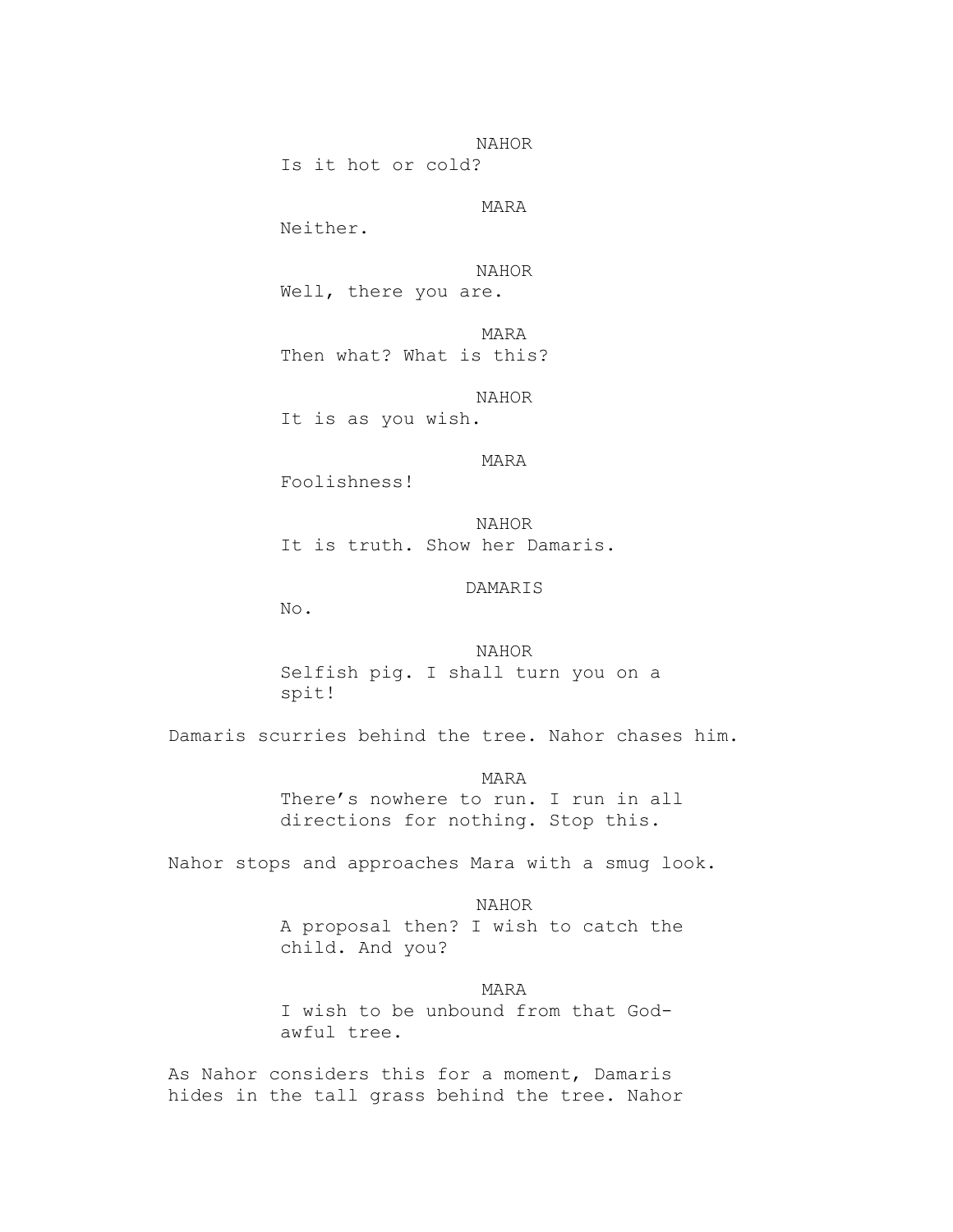NAHOR

Is it hot or cold?

MARA

Neither.

NAHOR

Well, there you are.

MARA Then what? What is this?

NAHOR

It is as you wish.

MARA

Foolishness!

NAHOR It is truth. Show her Damaris.

DAMARIS

No.

NAHOR Selfish pig. I shall turn you on a spit!

Damaris scurries behind the tree. Nahor chases him.

MARA There's nowhere to run. I run in all directions for nothing. Stop this.

Nahor stops and approaches Mara with a smug look.

NAHOR A proposal then? I wish to catch the child. And you?

MARA I wish to be unbound from that Godawful tree.

As Nahor considers this for a moment, Damaris hides in the tall grass behind the tree. Nahor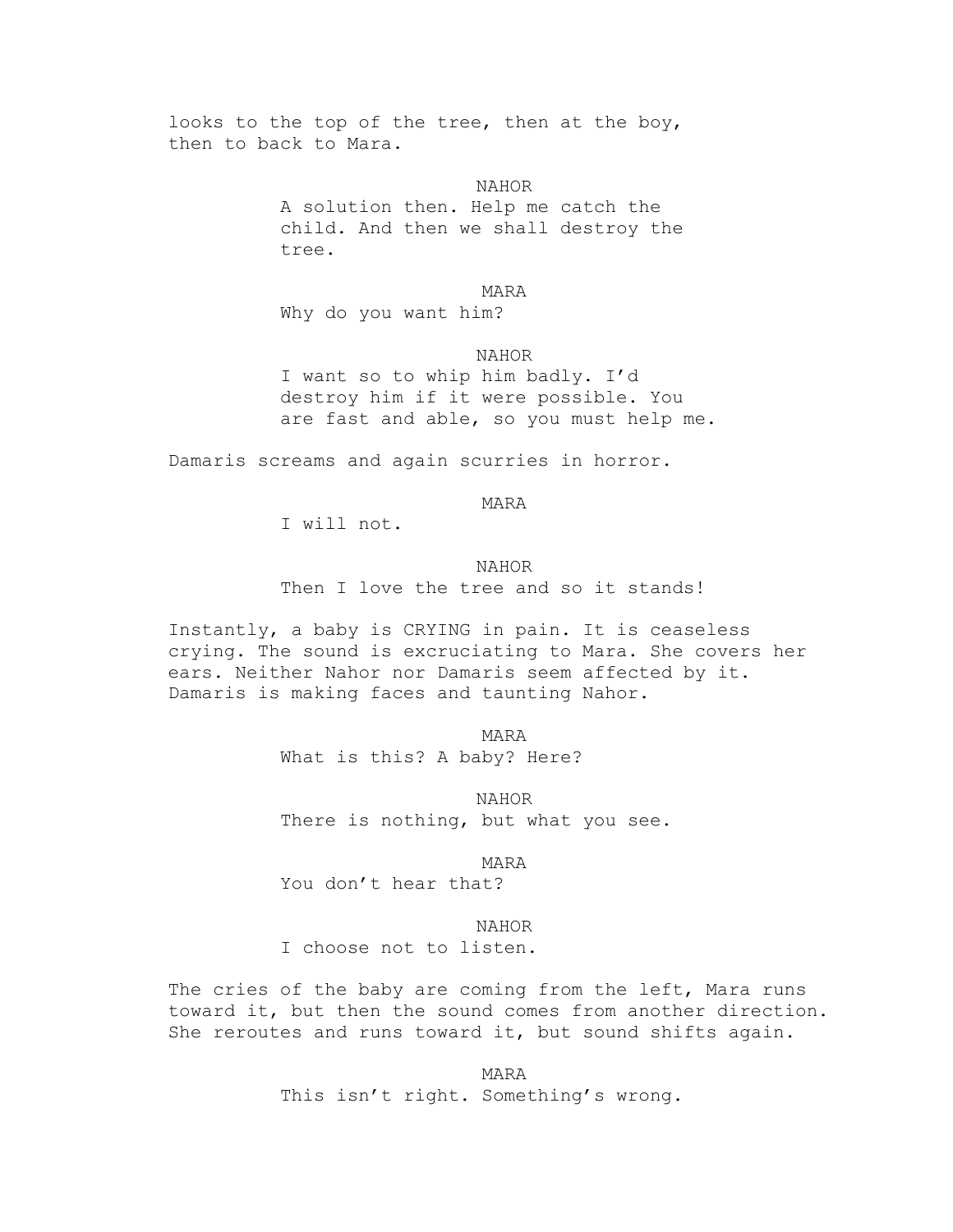looks to the top of the tree, then at the boy, then to back to Mara.

> NAHOR A solution then. Help me catch the child. And then we shall destroy the tree.

MARA Why do you want him?

NAHOR

I want so to whip him badly. I'd destroy him if it were possible. You are fast and able, so you must help me.

Damaris screams and again scurries in horror.

MARA

I will not.

NAHOR Then I love the tree and so it stands!

Instantly, a baby is CRYING in pain. It is ceaseless crying. The sound is excruciating to Mara. She covers her ears. Neither Nahor nor Damaris seem affected by it. Damaris is making faces and taunting Nahor.

> MARA What is this? A baby? Here?

NAHOR There is nothing, but what you see.

MARA

You don't hear that?

NAHOR

I choose not to listen.

The cries of the baby are coming from the left, Mara runs toward it, but then the sound comes from another direction. She reroutes and runs toward it, but sound shifts again.

> MARA This isn't right. Something's wrong.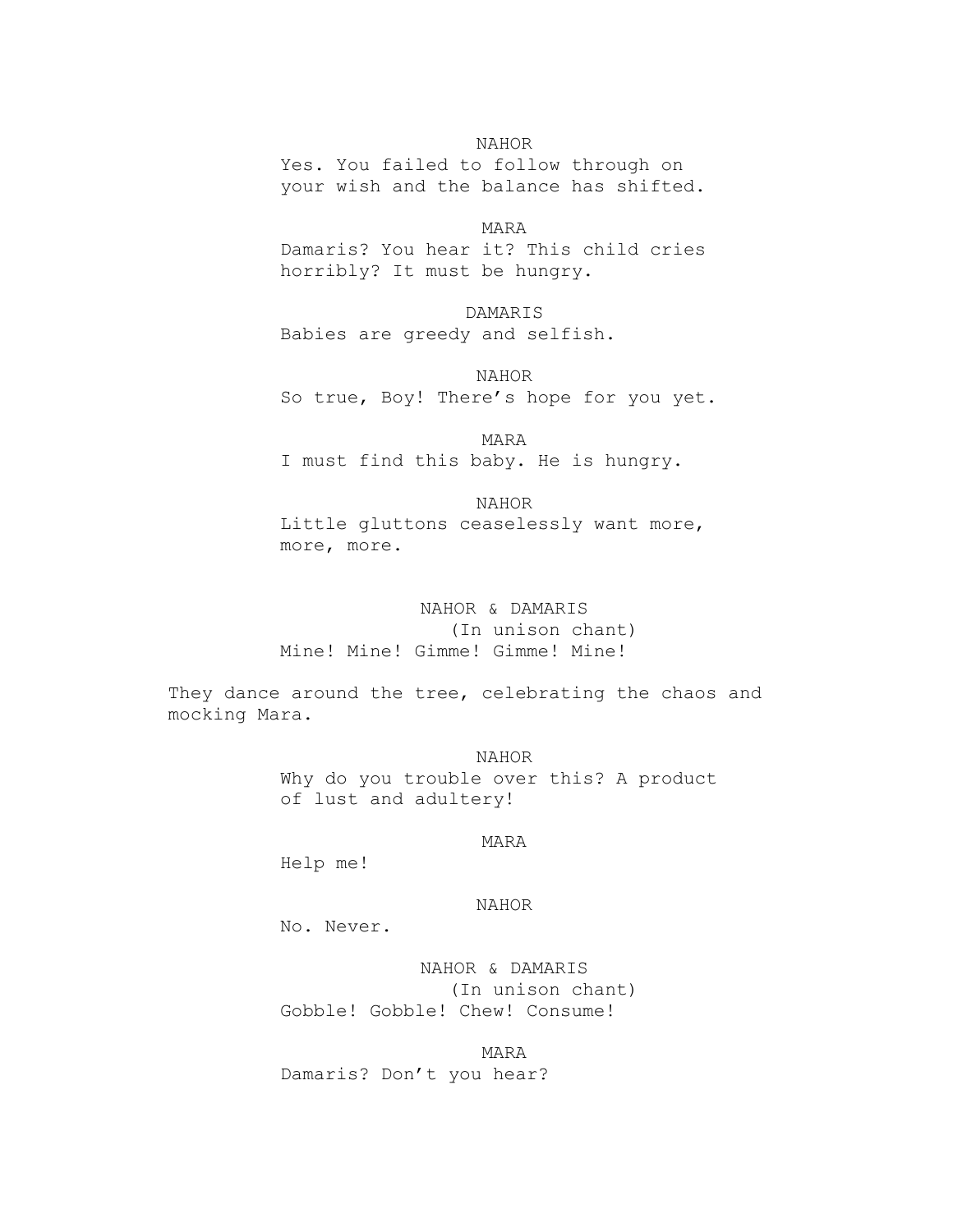NAHOR

Yes. You failed to follow through on your wish and the balance has shifted.

MARA Damaris? You hear it? This child cries horribly? It must be hungry.

DAMARIS Babies are greedy and selfish.

NAHOR So true, Boy! There's hope for you yet.

MARA I must find this baby. He is hungry.

NAHOR Little gluttons ceaselessly want more, more, more.

## NAHOR & DAMARIS (In unison chant)

Mine! Mine! Gimme! Gimme! Mine!

They dance around the tree, celebrating the chaos and mocking Mara.

> NAHOR Why do you trouble over this? A product of lust and adultery!

## MARA

Help me!

## NAHOR

No. Never.

NAHOR & DAMARIS (In unison chant) Gobble! Gobble! Chew! Consume!

MARA Damaris? Don't you hear?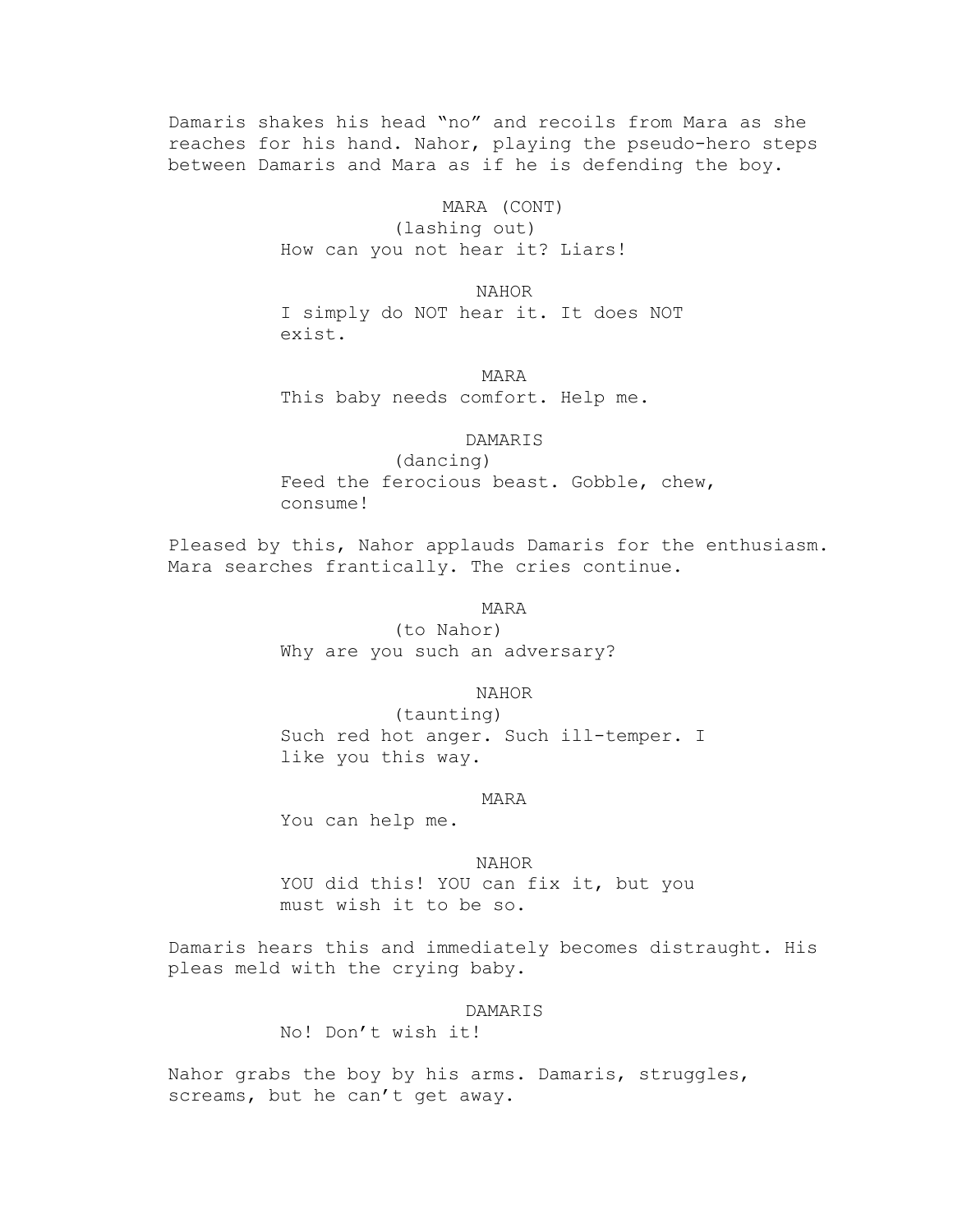Damaris shakes his head "no" and recoils from Mara as she reaches for his hand. Nahor, playing the pseudo-hero steps between Damaris and Mara as if he is defending the boy.

> MARA (CONT) (lashing out) How can you not hear it? Liars!

NAHOR I simply do NOT hear it. It does NOT exist.

MARA This baby needs comfort. Help me.

## DAMARIS

(dancing) Feed the ferocious beast. Gobble, chew, consume!

Pleased by this, Nahor applauds Damaris for the enthusiasm. Mara searches frantically. The cries continue.

MARA

(to Nahor) Why are you such an adversary?

#### NAHOR

(taunting) Such red hot anger. Such ill-temper. I like you this way.

#### MARA

You can help me.

#### NAHOR

YOU did this! YOU can fix it, but you must wish it to be so.

Damaris hears this and immediately becomes distraught. His pleas meld with the crying baby.

## DAMARIS

No! Don't wish it!

Nahor grabs the boy by his arms. Damaris, struggles, screams, but he can't get away.